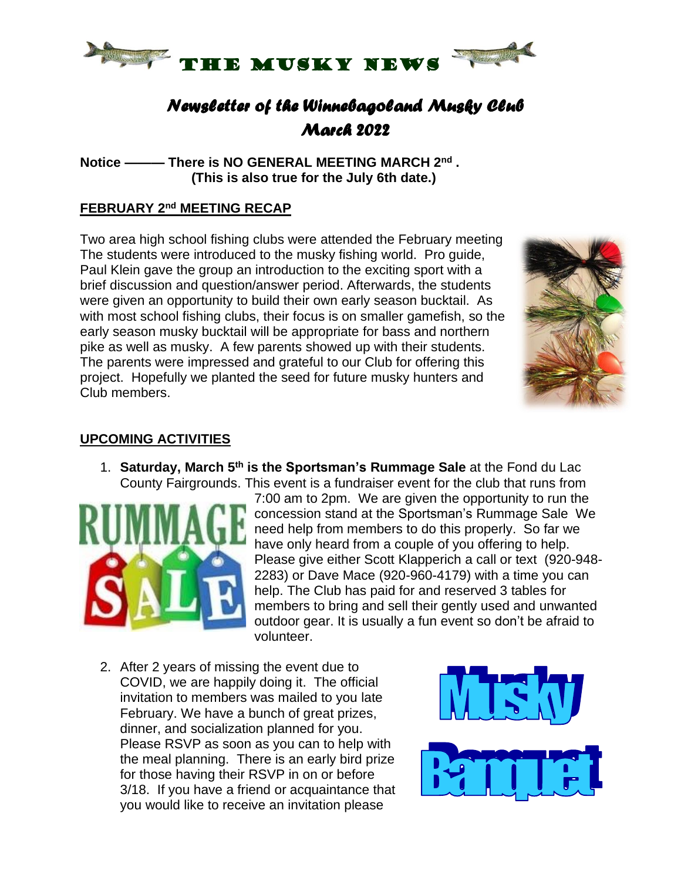

## *Newsletter of the Winnebagoland Musky Club March 2022*

**Notice ——— There is NO GENERAL MEETING MARCH 2 nd . (This is also true for the July 6th date.)**

### **FEBRUARY 2 nd MEETING RECAP**

Two area high school fishing clubs were attended the February meeting The students were introduced to the musky fishing world. Pro guide, Paul Klein gave the group an introduction to the exciting sport with a brief discussion and question/answer period. Afterwards, the students were given an opportunity to build their own early season bucktail. As with most school fishing clubs, their focus is on smaller gamefish, so the early season musky bucktail will be appropriate for bass and northern pike as well as musky. A few parents showed up with their students. The parents were impressed and grateful to our Club for offering this project. Hopefully we planted the seed for future musky hunters and Club members.



#### **UPCOMING ACTIVITIES**

1. **Saturday, March 5 th is the Sportsman's Rummage Sale** at the Fond du Lac County Fairgrounds. This event is a fundraiser event for the club that runs from



7:00 am to 2pm. We are given the opportunity to run the concession stand at the Sportsman's Rummage Sale We need help from members to do this properly. So far we have only heard from a couple of you offering to help. Please give either Scott Klapperich a call or text (920-948- 2283) or Dave Mace (920-960-4179) with a time you can help. The Club has paid for and reserved 3 tables for members to bring and sell their gently used and unwanted outdoor gear. It is usually a fun event so don't be afraid to volunteer.

2. After 2 years of missing the event due to COVID, we are happily doing it. The official invitation to members was mailed to you late February. We have a bunch of great prizes, dinner, and socialization planned for you. Please RSVP as soon as you can to help with the meal planning. There is an early bird prize for those having their RSVP in on or before 3/18. If you have a friend or acquaintance that you would like to receive an invitation please